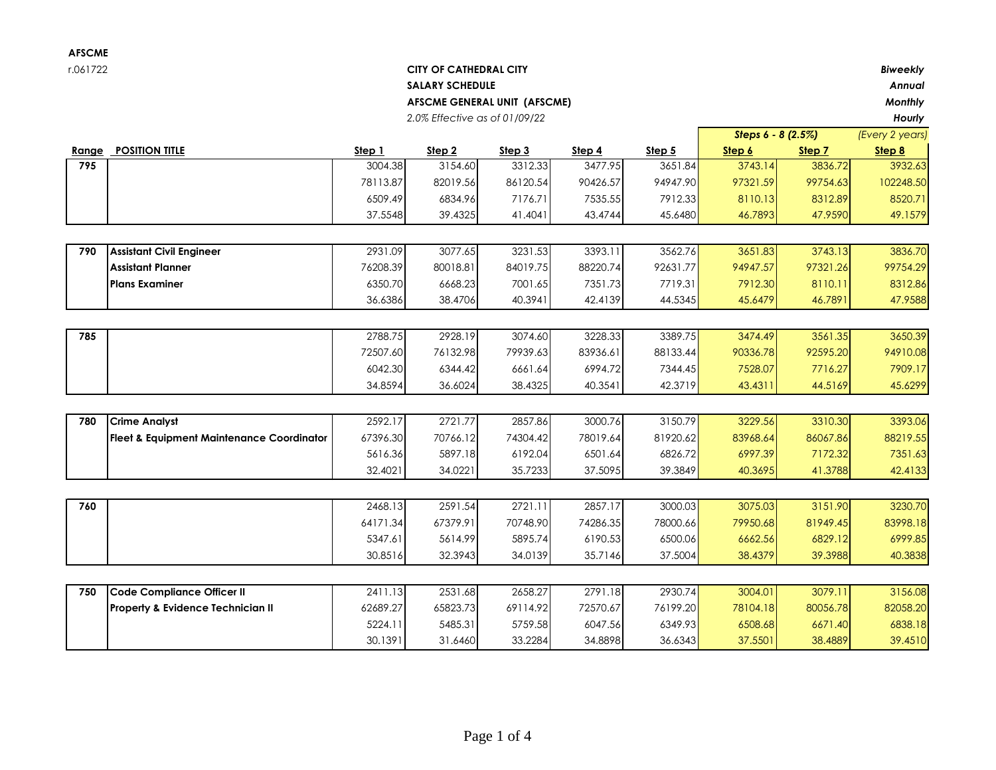## r.061722 **CITY OF CATHEDRAL CITY** *Biweekly* **SALARY SCHEDULE** *Annual* **AFSCME GENERAL UNIT (AFSCME)** *Monthly 2.0% Effective as of 01/09/22 Hourly*

| <b>POSITION TITLE</b><br>Step 1<br>Step 2<br>Step 3<br>Step 4<br>Step 5<br>Range<br>Step 6<br>Step 7<br>Step 8<br>3004.38<br>3154.60<br>3312.33<br>3477.95<br>3743.14<br>3836.72<br>3932.63<br>795<br>3651.84<br>78113.87<br>82019.56<br>86120.54<br>94947.90<br>102248.50<br>90426.57<br>97321.59<br>99754.63<br>6509.49<br>8312.89<br>6834.96<br>7176.71<br>7535.55<br>7912.33<br>8110.13<br>8520.71<br>37.5548<br>39.4325<br>41.4041<br>43.4744<br>45.6480<br>46.7893<br>47.9590<br>49.1579<br>2931.09<br>3077.65<br>3231.53<br>3393.11<br>3562.76<br>3743.13<br>3836.70<br>790<br><b>Assistant Civil Engineer</b><br>3651.83<br>94947.57<br><b>Assistant Planner</b><br>76208.39<br>80018.81<br>84019.75<br>88220.74<br>92631.77<br>97321.26<br>99754.29<br><b>Plans Examiner</b><br>6350.70<br>6668.23<br>7001.65<br>7351.73<br>7719.31<br>7912.30<br>8110.11<br>8312.86<br>36.6386<br>38.4706<br>40.3941<br>42.4139<br>44.5345<br>45.6479<br>46.7891<br>47.9588<br>2788.75<br>3074.60<br>3228.33<br>3389.75<br>3561.35<br>3650.39<br>2928.19<br>3474.49<br>785<br>72507.60<br>76132.98<br>79939.63<br>83936.61<br>88133.44<br>90336.78<br>92595.20<br>94910.08<br>6042.30<br>6344.42<br>6661.64<br>6994.72<br>7528.07<br>7716.27<br>7909.17<br>7344.45<br>42.3719<br>34.8594<br>36.6024<br>38.4325<br>40.3541<br>43.4311<br>44.5169<br>45.6299<br>2592.17<br>2721.77<br>2857.86<br>3000.76<br>3150.79<br>3229.56<br>3310.30<br>3393.06<br>780<br><b>Crime Analyst</b><br>67396.30<br>70766.12<br>74304.42<br>78019.64<br>81920.62<br>83968.64<br>86067.86<br>88219.55<br><b>Fleet &amp; Equipment Maintenance Coordinator</b><br>7172.32<br>5616.36<br>5897.18<br>6192.04<br>6501.64<br>6826.72<br>6997.39<br>7351.63<br>34.0221<br>37.5095<br>39.3849<br>42.4133<br>32.4021<br>35.7233<br>40.3695<br>41.3788<br>2591.54<br>2721.11<br>2857.17<br>3000.03<br>3075.03<br>3151.90<br>3230.70<br>760<br>2468.13<br>67379.91<br>81949.45<br>64171.34<br>70748.90<br>74286.35<br>78000.66<br>79950.68<br>83998.18 |
|--------------------------------------------------------------------------------------------------------------------------------------------------------------------------------------------------------------------------------------------------------------------------------------------------------------------------------------------------------------------------------------------------------------------------------------------------------------------------------------------------------------------------------------------------------------------------------------------------------------------------------------------------------------------------------------------------------------------------------------------------------------------------------------------------------------------------------------------------------------------------------------------------------------------------------------------------------------------------------------------------------------------------------------------------------------------------------------------------------------------------------------------------------------------------------------------------------------------------------------------------------------------------------------------------------------------------------------------------------------------------------------------------------------------------------------------------------------------------------------------------------------------------------------------------------------------------------------------------------------------------------------------------------------------------------------------------------------------------------------------------------------------------------------------------------------------------------------------------------------------------------------------------------------------------------------------------------------------------------------------------------------------|
|                                                                                                                                                                                                                                                                                                                                                                                                                                                                                                                                                                                                                                                                                                                                                                                                                                                                                                                                                                                                                                                                                                                                                                                                                                                                                                                                                                                                                                                                                                                                                                                                                                                                                                                                                                                                                                                                                                                                                                                                                    |
|                                                                                                                                                                                                                                                                                                                                                                                                                                                                                                                                                                                                                                                                                                                                                                                                                                                                                                                                                                                                                                                                                                                                                                                                                                                                                                                                                                                                                                                                                                                                                                                                                                                                                                                                                                                                                                                                                                                                                                                                                    |
|                                                                                                                                                                                                                                                                                                                                                                                                                                                                                                                                                                                                                                                                                                                                                                                                                                                                                                                                                                                                                                                                                                                                                                                                                                                                                                                                                                                                                                                                                                                                                                                                                                                                                                                                                                                                                                                                                                                                                                                                                    |
|                                                                                                                                                                                                                                                                                                                                                                                                                                                                                                                                                                                                                                                                                                                                                                                                                                                                                                                                                                                                                                                                                                                                                                                                                                                                                                                                                                                                                                                                                                                                                                                                                                                                                                                                                                                                                                                                                                                                                                                                                    |
|                                                                                                                                                                                                                                                                                                                                                                                                                                                                                                                                                                                                                                                                                                                                                                                                                                                                                                                                                                                                                                                                                                                                                                                                                                                                                                                                                                                                                                                                                                                                                                                                                                                                                                                                                                                                                                                                                                                                                                                                                    |
|                                                                                                                                                                                                                                                                                                                                                                                                                                                                                                                                                                                                                                                                                                                                                                                                                                                                                                                                                                                                                                                                                                                                                                                                                                                                                                                                                                                                                                                                                                                                                                                                                                                                                                                                                                                                                                                                                                                                                                                                                    |
|                                                                                                                                                                                                                                                                                                                                                                                                                                                                                                                                                                                                                                                                                                                                                                                                                                                                                                                                                                                                                                                                                                                                                                                                                                                                                                                                                                                                                                                                                                                                                                                                                                                                                                                                                                                                                                                                                                                                                                                                                    |
|                                                                                                                                                                                                                                                                                                                                                                                                                                                                                                                                                                                                                                                                                                                                                                                                                                                                                                                                                                                                                                                                                                                                                                                                                                                                                                                                                                                                                                                                                                                                                                                                                                                                                                                                                                                                                                                                                                                                                                                                                    |
|                                                                                                                                                                                                                                                                                                                                                                                                                                                                                                                                                                                                                                                                                                                                                                                                                                                                                                                                                                                                                                                                                                                                                                                                                                                                                                                                                                                                                                                                                                                                                                                                                                                                                                                                                                                                                                                                                                                                                                                                                    |
|                                                                                                                                                                                                                                                                                                                                                                                                                                                                                                                                                                                                                                                                                                                                                                                                                                                                                                                                                                                                                                                                                                                                                                                                                                                                                                                                                                                                                                                                                                                                                                                                                                                                                                                                                                                                                                                                                                                                                                                                                    |
|                                                                                                                                                                                                                                                                                                                                                                                                                                                                                                                                                                                                                                                                                                                                                                                                                                                                                                                                                                                                                                                                                                                                                                                                                                                                                                                                                                                                                                                                                                                                                                                                                                                                                                                                                                                                                                                                                                                                                                                                                    |
|                                                                                                                                                                                                                                                                                                                                                                                                                                                                                                                                                                                                                                                                                                                                                                                                                                                                                                                                                                                                                                                                                                                                                                                                                                                                                                                                                                                                                                                                                                                                                                                                                                                                                                                                                                                                                                                                                                                                                                                                                    |
|                                                                                                                                                                                                                                                                                                                                                                                                                                                                                                                                                                                                                                                                                                                                                                                                                                                                                                                                                                                                                                                                                                                                                                                                                                                                                                                                                                                                                                                                                                                                                                                                                                                                                                                                                                                                                                                                                                                                                                                                                    |
|                                                                                                                                                                                                                                                                                                                                                                                                                                                                                                                                                                                                                                                                                                                                                                                                                                                                                                                                                                                                                                                                                                                                                                                                                                                                                                                                                                                                                                                                                                                                                                                                                                                                                                                                                                                                                                                                                                                                                                                                                    |
|                                                                                                                                                                                                                                                                                                                                                                                                                                                                                                                                                                                                                                                                                                                                                                                                                                                                                                                                                                                                                                                                                                                                                                                                                                                                                                                                                                                                                                                                                                                                                                                                                                                                                                                                                                                                                                                                                                                                                                                                                    |
|                                                                                                                                                                                                                                                                                                                                                                                                                                                                                                                                                                                                                                                                                                                                                                                                                                                                                                                                                                                                                                                                                                                                                                                                                                                                                                                                                                                                                                                                                                                                                                                                                                                                                                                                                                                                                                                                                                                                                                                                                    |
|                                                                                                                                                                                                                                                                                                                                                                                                                                                                                                                                                                                                                                                                                                                                                                                                                                                                                                                                                                                                                                                                                                                                                                                                                                                                                                                                                                                                                                                                                                                                                                                                                                                                                                                                                                                                                                                                                                                                                                                                                    |
|                                                                                                                                                                                                                                                                                                                                                                                                                                                                                                                                                                                                                                                                                                                                                                                                                                                                                                                                                                                                                                                                                                                                                                                                                                                                                                                                                                                                                                                                                                                                                                                                                                                                                                                                                                                                                                                                                                                                                                                                                    |
|                                                                                                                                                                                                                                                                                                                                                                                                                                                                                                                                                                                                                                                                                                                                                                                                                                                                                                                                                                                                                                                                                                                                                                                                                                                                                                                                                                                                                                                                                                                                                                                                                                                                                                                                                                                                                                                                                                                                                                                                                    |
|                                                                                                                                                                                                                                                                                                                                                                                                                                                                                                                                                                                                                                                                                                                                                                                                                                                                                                                                                                                                                                                                                                                                                                                                                                                                                                                                                                                                                                                                                                                                                                                                                                                                                                                                                                                                                                                                                                                                                                                                                    |
|                                                                                                                                                                                                                                                                                                                                                                                                                                                                                                                                                                                                                                                                                                                                                                                                                                                                                                                                                                                                                                                                                                                                                                                                                                                                                                                                                                                                                                                                                                                                                                                                                                                                                                                                                                                                                                                                                                                                                                                                                    |
|                                                                                                                                                                                                                                                                                                                                                                                                                                                                                                                                                                                                                                                                                                                                                                                                                                                                                                                                                                                                                                                                                                                                                                                                                                                                                                                                                                                                                                                                                                                                                                                                                                                                                                                                                                                                                                                                                                                                                                                                                    |
| 5347.61<br>5614.99<br>5895.74<br>6190.53<br>6500.06<br>6662.56<br>6829.12<br>6999.85                                                                                                                                                                                                                                                                                                                                                                                                                                                                                                                                                                                                                                                                                                                                                                                                                                                                                                                                                                                                                                                                                                                                                                                                                                                                                                                                                                                                                                                                                                                                                                                                                                                                                                                                                                                                                                                                                                                               |
| 37.5004<br>39.3988<br>30.8516<br>32.3943<br>34.0139<br>35.7146<br>38.4379<br>40.3838                                                                                                                                                                                                                                                                                                                                                                                                                                                                                                                                                                                                                                                                                                                                                                                                                                                                                                                                                                                                                                                                                                                                                                                                                                                                                                                                                                                                                                                                                                                                                                                                                                                                                                                                                                                                                                                                                                                               |
| 2531.68<br>2658.27<br>2791.18<br>2930.74<br>3079.11<br>3156.08<br>Code Compliance Officer II<br>2411.13<br>3004.01<br>750                                                                                                                                                                                                                                                                                                                                                                                                                                                                                                                                                                                                                                                                                                                                                                                                                                                                                                                                                                                                                                                                                                                                                                                                                                                                                                                                                                                                                                                                                                                                                                                                                                                                                                                                                                                                                                                                                          |
| 62689.27<br>65823.73<br>69114.92<br>72570.67<br>76199.20<br>78104.18<br>80056.78<br>82058.20<br><b>Property &amp; Evidence Technician II</b>                                                                                                                                                                                                                                                                                                                                                                                                                                                                                                                                                                                                                                                                                                                                                                                                                                                                                                                                                                                                                                                                                                                                                                                                                                                                                                                                                                                                                                                                                                                                                                                                                                                                                                                                                                                                                                                                       |
| 5224.11<br>5485.31<br>5759.58<br>6349.93<br>6508.68<br>6671.40<br>6838.18<br>6047.56                                                                                                                                                                                                                                                                                                                                                                                                                                                                                                                                                                                                                                                                                                                                                                                                                                                                                                                                                                                                                                                                                                                                                                                                                                                                                                                                                                                                                                                                                                                                                                                                                                                                                                                                                                                                                                                                                                                               |
| 33.2284<br>34.8898<br>30.1391<br>31.6460<br>36.6343<br>37.5501<br>38.4889<br>39.4510                                                                                                                                                                                                                                                                                                                                                                                                                                                                                                                                                                                                                                                                                                                                                                                                                                                                                                                                                                                                                                                                                                                                                                                                                                                                                                                                                                                                                                                                                                                                                                                                                                                                                                                                                                                                                                                                                                                               |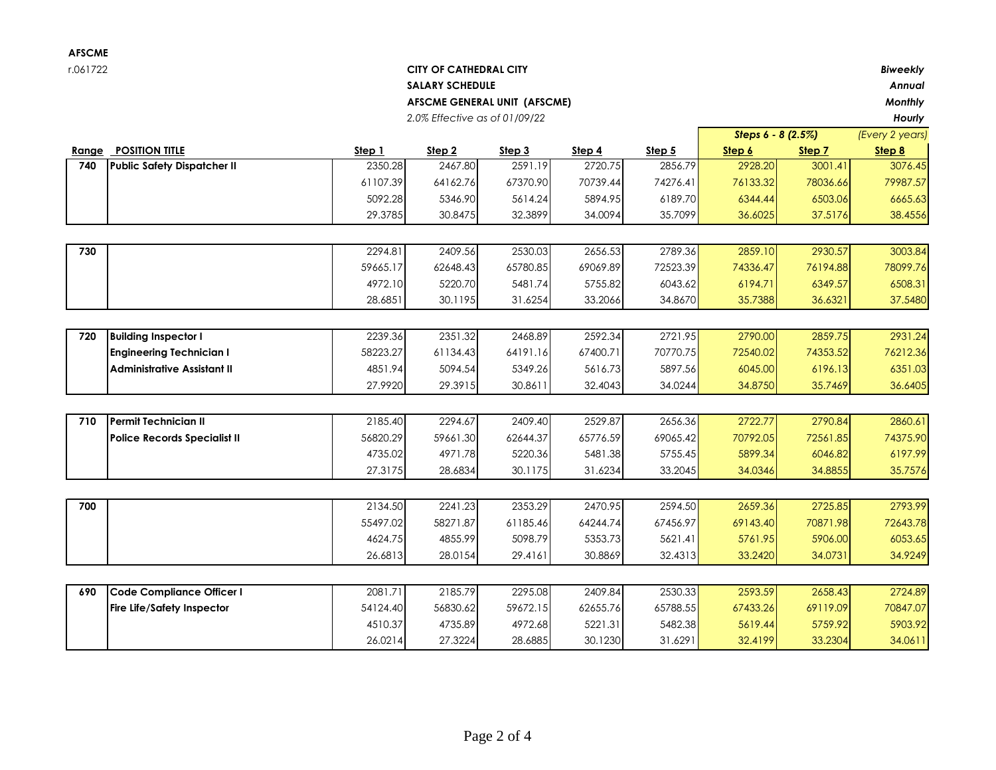## r.061722 **CITY OF CATHEDRAL CITY** *Biweekly* **SALARY SCHEDULE** *Annual* **AFSCME GENERAL UNIT (AFSCME)** *Monthly*

*2.0% Effective as of 01/09/22 Hourly*

|       |                                     |          |          |          |          |          | Steps 6 - 8 (2.5%) |          | (Every 2 years) |
|-------|-------------------------------------|----------|----------|----------|----------|----------|--------------------|----------|-----------------|
| Range | <b>POSITION TITLE</b>               | Step 1   | Step 2   | Step 3   | Step 4   | Step 5   | Step 6             | Step 7   | Step 8          |
| 740   | <b>Public Safety Dispatcher II</b>  | 2350.28  | 2467.80  | 2591.19  | 2720.75  | 2856.79  | 2928.20            | 3001.41  | 3076.45         |
|       |                                     | 61107.39 | 64162.76 | 67370.90 | 70739.44 | 74276.41 | 76133.32           | 78036.66 | 79987.57        |
|       |                                     | 5092.28  | 5346.90  | 5614.24  | 5894.95  | 6189.70  | 6344.44            | 6503.06  | 6665.63         |
|       |                                     | 29.3785  | 30.8475  | 32.3899  | 34.0094  | 35.7099  | 36.6025            | 37.5176  | 38.4556         |
|       |                                     |          |          |          |          |          |                    |          |                 |
| 730   |                                     | 2294.81  | 2409.56  | 2530.03  | 2656.53  | 2789.36  | 2859.10            | 2930.57  | 3003.84         |
|       |                                     | 59665.17 | 62648.43 | 65780.85 | 69069.89 | 72523.39 | 74336.47           | 76194.88 | 78099.76        |
|       |                                     | 4972.10  | 5220.70  | 5481.74  | 5755.82  | 6043.62  | 6194.71            | 6349.57  | 6508.31         |
|       |                                     | 28.6851  | 30.1195  | 31.6254  | 33.2066  | 34.8670  | 35.7388            | 36.6321  | 37.5480         |
|       |                                     |          |          |          |          |          |                    |          |                 |
| 720   | <b>Building Inspector I</b>         | 2239.36  | 2351.32  | 2468.89  | 2592.34  | 2721.95  | 2790.00            | 2859.75  | 2931.24         |
|       | <b>Engineering Technician I</b>     | 58223.27 | 61134.43 | 64191.16 | 67400.71 | 70770.75 | 72540.02           | 74353.52 | 76212.36        |
|       | <b>Administrative Assistant II</b>  | 4851.94  | 5094.54  | 5349.26  | 5616.73  | 5897.56  | 6045.00            | 6196.13  | 6351.03         |
|       |                                     | 27.9920  | 29.3915  | 30.8611  | 32.4043  | 34.0244  | 34.8750            | 35.7469  | 36.6405         |
|       |                                     |          |          |          |          |          |                    |          |                 |
| 710   | Permit Technician II                | 2185.40  | 2294.67  | 2409.40  | 2529.87  | 2656.36  | 2722.77            | 2790.84  | 2860.61         |
|       | <b>Police Records Specialist II</b> | 56820.29 | 59661.30 | 62644.37 | 65776.59 | 69065.42 | 70792.05           | 72561.85 | 74375.90        |
|       |                                     | 4735.02  | 4971.78  | 5220.36  | 5481.38  | 5755.45  | 5899.34            | 6046.82  | 6197.99         |
|       |                                     | 27.3175  | 28.6834  | 30.1175  | 31.6234  | 33.2045  | 34.0346            | 34.8855  | 35.7576         |
|       |                                     |          |          |          |          |          |                    |          |                 |
| 700   |                                     | 2134.50  | 2241.23  | 2353.29  | 2470.95  | 2594.50  | 2659.36            | 2725.85  | 2793.99         |
|       |                                     | 55497.02 | 58271.87 | 61185.46 | 64244.74 | 67456.97 | 69143.40           | 70871.98 | 72643.78        |
|       |                                     | 4624.75  | 4855.99  | 5098.79  | 5353.73  | 5621.41  | 5761.95            | 5906.00  | 6053.65         |
|       |                                     | 26.6813  | 28.0154  | 29.4161  | 30.8869  | 32.4313  | 33.2420            | 34.0731  | 34.9249         |
|       |                                     |          |          |          |          |          |                    |          |                 |
| 690   | Code Compliance Officer I           | 2081.71  | 2185.79  | 2295.08  | 2409.84  | 2530.33  | 2593.59            | 2658.43  | 2724.89         |
|       | <b>Fire Life/Safety Inspector</b>   | 54124.40 | 56830.62 | 59672.15 | 62655.76 | 65788.55 | 67433.26           | 69119.09 | 70847.07        |
|       |                                     | 4510.37  | 4735.89  | 4972.68  | 5221.31  | 5482.38  | 5619.44            | 5759.92  | 5903.92         |
|       |                                     | 26.0214  | 27.3224  | 28.6885  | 30.1230  | 31.6291  | 32.4199            | 33.2304  | 34.0611         |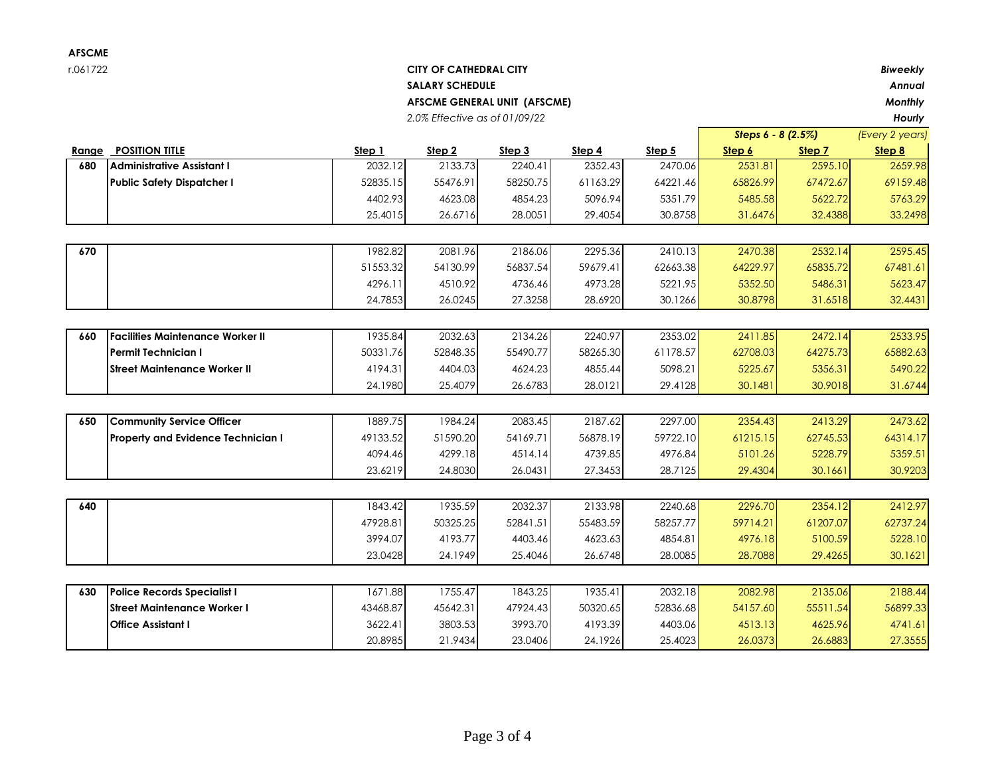| AFSCME                        |                                   |               |                               |          |          |          |          |                                         |                |  |
|-------------------------------|-----------------------------------|---------------|-------------------------------|----------|----------|----------|----------|-----------------------------------------|----------------|--|
| r.061722                      |                                   |               | <b>CITY OF CATHEDRAL CITY</b> |          |          |          | Biweekly |                                         |                |  |
| <b>SALARY SCHEDULE</b>        |                                   |               |                               |          |          |          |          |                                         | Annual         |  |
|                               | AFSCME GENERAL UNIT (AFSCME)      |               |                               |          |          |          |          |                                         | <b>Monthly</b> |  |
| 2.0% Effective as of 01/09/22 |                                   |               |                               |          |          |          |          |                                         | Hourly         |  |
|                               |                                   |               |                               |          |          |          |          | Steps $6 - 8$ (2.5%)<br>(Every 2 years) |                |  |
| Range                         | <b>POSITION TITLE</b>             | <u>Step 1</u> | Step 2                        | Step 3   | Step 4   | Step 5   | Step 6   | Step 7                                  | Step 8         |  |
| 680                           | <b>Administrative Assistant I</b> | 2032.12       | 2133.73                       | 2240.41  | 2352.43  | 2470.06  | 2531.81  | 2595.10                                 | 2659.98        |  |
|                               | <b>Public Safety Dispatcher I</b> | 52835.15      | 55476.91                      | 58250.75 | 61163.29 | 64221.46 | 65826.99 | 67472.67                                | 69159.48       |  |
|                               |                                   | 4402.93       | 4623.08                       | 4854.23  | 5096.94  | 5351.79  | 5485.58  | 5622.72                                 | 5763.29        |  |
|                               |                                   | 25.4015       | 26.6716                       | 28.0051  | 29.4054  | 30.8758  | 31.6476  | 32.4388                                 | 33.2498        |  |
|                               |                                   |               |                               |          |          |          |          |                                         |                |  |

| 670 | 1982.82  | 2081.96  | 2186.06  | 2295.36  | 2410.13  | 2470.38  | 2532.14  | 2595.45  |
|-----|----------|----------|----------|----------|----------|----------|----------|----------|
|     | 51553.32 | 54130.99 | 56837.54 | 59679.41 | 62663.38 | 64229.97 | 65835.72 | 67481.61 |
|     | 4296.11  | 4510.92  | 4736.46  | 4973.28  | 5221.95  | 5352.50  | 5486.31  | 5623.47  |
|     | 24.7853  | 26.0245  | 27.3258  | 28.6920  | 30.1266  | 30.8798  | 31.6518  | 32.4431  |

| 660 | <b>IFacilities Maintenance Worker II</b> | 1935.84  | 2032.63  | 2134.26  | 2240.97  | 2353.02  | 2411.85  | 2472.14  | 2533.95  |
|-----|------------------------------------------|----------|----------|----------|----------|----------|----------|----------|----------|
|     | <b>IPermit Technician I</b>              | 50331.76 | 52848.35 | 55490.77 | 58265.30 | 61178.57 | 62708.03 | 64275.73 | 65882.63 |
|     | IStreet Maintenance Worker II            | 4194.311 | 4404.03  | 4624.23  | 4855.44  | 5098.21  | 5225.67  | 5356.31  | 5490.22  |
|     |                                          | 24.1980  | 25.4079  | 26.6783  | 28.0121  | 29.4128  | 30.1481  | 30.9018  | 31.6744  |
|     |                                          |          |          |          |          |          |          |          |          |
|     |                                          |          |          |          |          |          |          |          |          |

| 650 | <b>ICommunity Service Officer</b>         | 1889.75  | 1984.24  | 2083.45  | 2187.62  | 2297.00  | 2354.43  | 2413.29  | 2473.62  |
|-----|-------------------------------------------|----------|----------|----------|----------|----------|----------|----------|----------|
|     | <b>Property and Evidence Technician I</b> | 49133.52 | 51590.20 | 54169.71 | 56878.19 | 59722.10 | 61215.15 | 62745.53 | 64314.17 |
|     |                                           | 4094.46  | 4299.18  | 4514.14  | 4739.85  | 4976.84  | 5101.26  | 5228.79  | 5359.51  |
|     |                                           | 23.6219  | 24.8030  | 26.0431  | 27.3453  | 28.7125  | 29.4304  | 30.1661  | 30.9203  |

| 640 |                                    | 1843.42  | 1935.59  | 2032.37  | 2133.98  | 2240.68  | 2296.70  | 2354.12  | 2412.97  |
|-----|------------------------------------|----------|----------|----------|----------|----------|----------|----------|----------|
|     |                                    | 47928.81 | 50325.25 | 52841.51 | 55483.59 | 58257.77 | 59714.21 | 61207.07 | 62737.24 |
|     |                                    | 3994.07  | 4193.77  | 4403.46  | 4623.63  | 4854.81  | 4976.18  | 5100.59  | 5228.10  |
|     |                                    | 23.0428  | 24.1949  | 25.4046  | 26.6748  | 28.0085  | 28.7088  | 29.4265  | 30.1621  |
|     |                                    |          |          |          |          |          |          |          |          |
| 630 | <b>Police Records Specialist I</b> | 1671.88  | 1755.47  | 1843.25  | 1935.41  | 2032.18  | 2082.98  | 2135.06  | 2188.44  |
|     | <b>Street Maintenance Worker I</b> | 43468.87 | 45642.31 | 47924.43 | 50320.65 | 52836.68 | 54157.60 | 55511.54 | 56899.33 |
|     | <b>Office Assistant I</b>          | 3622.41  | 3803.53  | 3993.70  | 4193.39  | 4403.06  | 4513.13  | 4625.96  | 4741.61  |
|     |                                    | 20.8985  | 21.9434  | 23.0406  | 24.1926  | 25.4023  | 26.0373  | 26.6883  | 27.3555  |